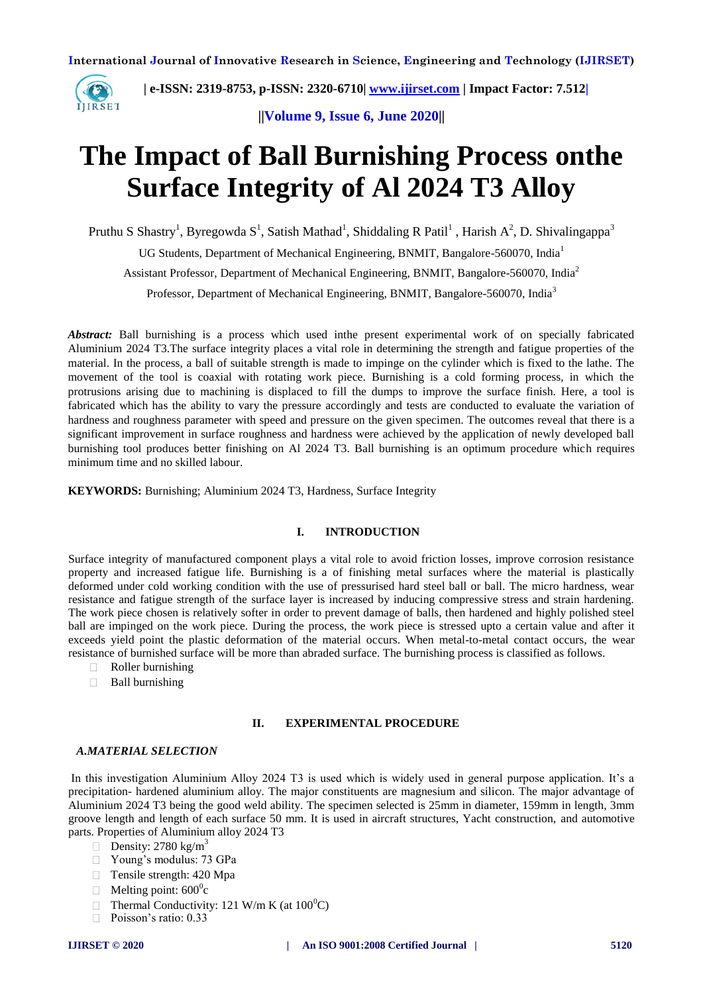

 **| e-ISSN: 2319-8753, p-ISSN: 2320-6710| [www.ijirset.com](http://www.ijirset.com/) | Impact Factor: 7.512|**

**||Volume 9, Issue 6, June 2020||** 

# **The Impact of Ball Burnishing Process onthe Surface Integrity of Al 2024 T3 Alloy**

Pruthu S Shastry<sup>1</sup>, Byregowda S<sup>1</sup>, Satish Mathad<sup>1</sup>, Shiddaling R Patil<sup>1</sup>, Harish A<sup>2</sup>, D. Shivalingappa<sup>3</sup>

UG Students, Department of Mechanical Engineering, BNMIT, Bangalore-560070, India<sup>1</sup>

Assistant Professor, Department of Mechanical Engineering, BNMIT, Bangalore-560070, India<sup>2</sup>

Professor, Department of Mechanical Engineering, BNMIT, Bangalore-560070, India<sup>3</sup>

*Abstract:* Ball burnishing is a process which used inthe present experimental work of on specially fabricated Aluminium 2024 T3.The surface integrity places a vital role in determining the strength and fatigue properties of the material. In the process, a ball of suitable strength is made to impinge on the cylinder which is fixed to the lathe. The movement of the tool is coaxial with rotating work piece. Burnishing is a cold forming process, in which the protrusions arising due to machining is displaced to fill the dumps to improve the surface finish. Here, a tool is fabricated which has the ability to vary the pressure accordingly and tests are conducted to evaluate the variation of hardness and roughness parameter with speed and pressure on the given specimen. The outcomes reveal that there is a significant improvement in surface roughness and hardness were achieved by the application of newly developed ball burnishing tool produces better finishing on Al 2024 T3. Ball burnishing is an optimum procedure which requires minimum time and no skilled labour.

**KEYWORDS:** Burnishing; Aluminium 2024 T3, Hardness, Surface Integrity

## **I. INTRODUCTION**

Surface integrity of manufactured component plays a vital role to avoid friction losses, improve corrosion resistance property and increased fatigue life. Burnishing is a of finishing metal surfaces where the material is plastically deformed under cold working condition with the use of pressurised hard steel ball or ball. The micro hardness, wear resistance and fatigue strength of the surface layer is increased by inducing compressive stress and strain hardening. The work piece chosen is relatively softer in order to prevent damage of balls, then hardened and highly polished steel ball are impinged on the work piece. During the process, the work piece is stressed upto a certain value and after it exceeds yield point the plastic deformation of the material occurs. When metal-to-metal contact occurs, the wear resistance of burnished surface will be more than abraded surface. The burnishing process is classified as follows.

- $\Box$ Roller burnishing
- **Ball burnishing**

## **II. EXPERIMENTAL PROCEDURE**

#### *A.MATERIAL SELECTION*

In this investigation Aluminium Alloy 2024 T3 is used which is widely used in general purpose application. It's a precipitation- hardened aluminium alloy. The major constituents are magnesium and silicon. The major advantage of Aluminium 2024 T3 being the good weld ability. The specimen selected is 25mm in diameter, 159mm in length, 3mm groove length and length of each surface 50 mm. It is used in aircraft structures, Yacht construction, and automotive parts. Properties of Aluminium alloy 2024 T3

- Density: 2780 kg/m<sup>3</sup>
- Young's modulus: 73 GPa
- □ Tensile strength: 420 Mpa
- Melting point:  $600^0c$
- Thermal Conductivity: 121 W/m K (at  $100^{\circ}$ C)  $\Box$
- Poisson's ratio: 0.33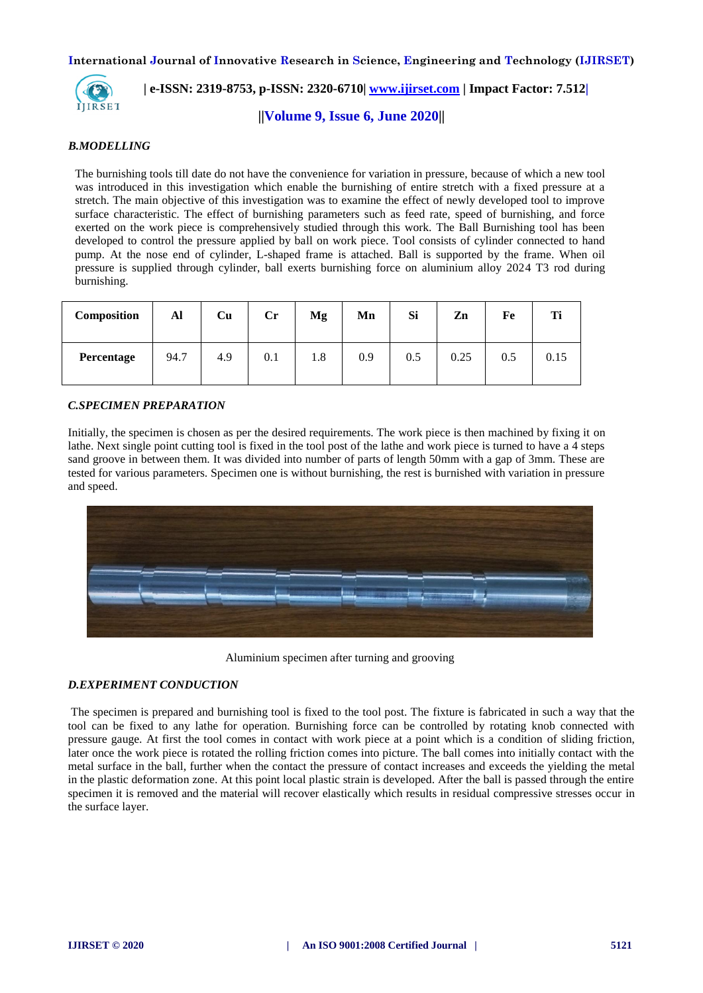

# **| e-ISSN: 2319-8753, p-ISSN: 2320-6710| [www.ijirset.com](http://www.ijirset.com/) | Impact Factor: 7.512|**

**||Volume 9, Issue 6, June 2020||** 

#### *B.MODELLING*

The burnishing tools till date do not have the convenience for variation in pressure, because of which a new tool was introduced in this investigation which enable the burnishing of entire stretch with a fixed pressure at a stretch. The main objective of this investigation was to examine the effect of newly developed tool to improve surface characteristic. The effect of burnishing parameters such as feed rate, speed of burnishing, and force exerted on the work piece is comprehensively studied through this work. The Ball Burnishing tool has been developed to control the pressure applied by ball on work piece. Tool consists of cylinder connected to hand pump. At the nose end of cylinder, L-shaped frame is attached. Ball is supported by the frame. When oil pressure is supplied through cylinder, ball exerts burnishing force on aluminium alloy 2024 T3 rod during burnishing.

| Composition | Al   | Cu  | $\mathbf{Cr}$ | Mg  | Mn  | Si      | Zn   | Fe  | Ti   |
|-------------|------|-----|---------------|-----|-----|---------|------|-----|------|
| Percentage  | 94.7 | 4.9 | 0.1           | 1.8 | 0.9 | $0.5\,$ | 0.25 | 0.5 | 0.15 |

## *C.SPECIMEN PREPARATION*

Initially, the specimen is chosen as per the desired requirements. The work piece is then machined by fixing it on lathe. Next single point cutting tool is fixed in the tool post of the lathe and work piece is turned to have a 4 steps sand groove in between them. It was divided into number of parts of length 50mm with a gap of 3mm. These are tested for various parameters. Specimen one is without burnishing, the rest is burnished with variation in pressure and speed.



Aluminium specimen after turning and grooving

## *D.EXPERIMENT CONDUCTION*

The specimen is prepared and burnishing tool is fixed to the tool post. The fixture is fabricated in such a way that the tool can be fixed to any lathe for operation. Burnishing force can be controlled by rotating knob connected with pressure gauge. At first the tool comes in contact with work piece at a point which is a condition of sliding friction, later once the work piece is rotated the rolling friction comes into picture. The ball comes into initially contact with the metal surface in the ball, further when the contact the pressure of contact increases and exceeds the yielding the metal in the plastic deformation zone. At this point local plastic strain is developed. After the ball is passed through the entire specimen it is removed and the material will recover elastically which results in residual compressive stresses occur in the surface layer.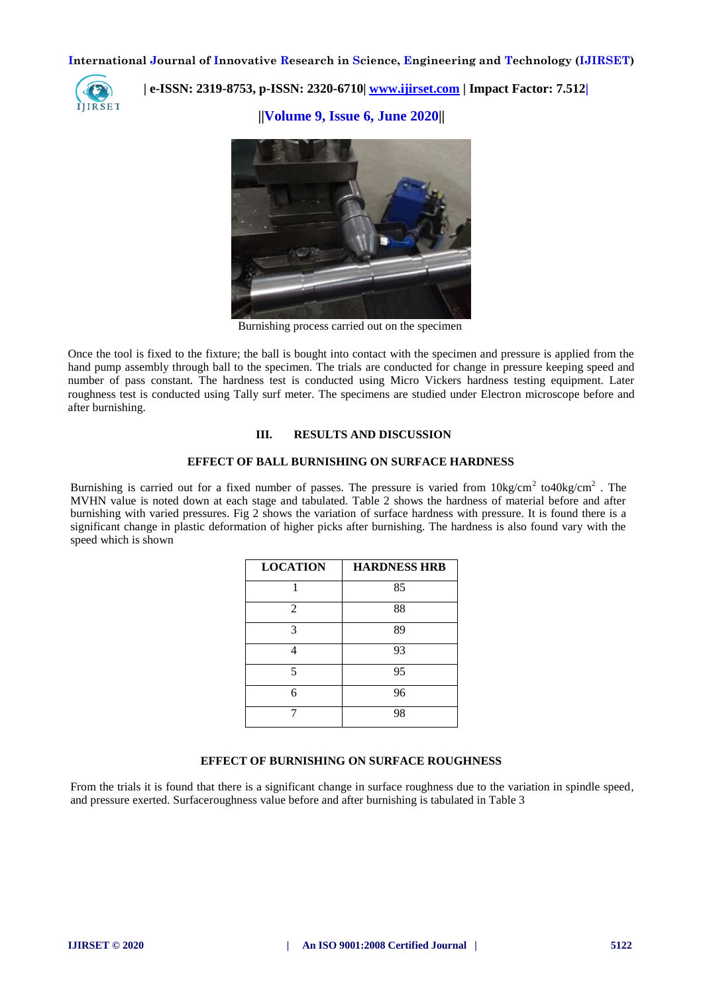

 **| e-ISSN: 2319-8753, p-ISSN: 2320-6710| [www.ijirset.com](http://www.ijirset.com/) | Impact Factor: 7.512|**

**||Volume 9, Issue 6, June 2020||** 



Burnishing process carried out on the specimen

Once the tool is fixed to the fixture; the ball is bought into contact with the specimen and pressure is applied from the hand pump assembly through ball to the specimen. The trials are conducted for change in pressure keeping speed and number of pass constant. The hardness test is conducted using Micro Vickers hardness testing equipment. Later roughness test is conducted using Tally surf meter. The specimens are studied under Electron microscope before and after burnishing.

#### **III. RESULTS AND DISCUSSION**

## **EFFECT OF BALL BURNISHING ON SURFACE HARDNESS**

Burnishing is carried out for a fixed number of passes. The pressure is varied from  $10\text{kg/cm}^2$  to40kg/cm<sup>2</sup>. The MVHN value is noted down at each stage and tabulated. Table 2 shows the hardness of material before and after burnishing with varied pressures. Fig 2 shows the variation of surface hardness with pressure. It is found there is a significant change in plastic deformation of higher picks after burnishing. The hardness is also found vary with the speed which is shown

| <b>LOCATION</b> | <b>HARDNESS HRB</b> |
|-----------------|---------------------|
|                 | 85                  |
| 2               | 88                  |
| 3               | 89                  |
|                 | 93                  |
| 5               | 95                  |
| 6               | 96                  |
|                 | 98                  |

## **EFFECT OF BURNISHING ON SURFACE ROUGHNESS**

From the trials it is found that there is a significant change in surface roughness due to the variation in spindle speed, and pressure exerted. Surfaceroughness value before and after burnishing is tabulated in Table 3